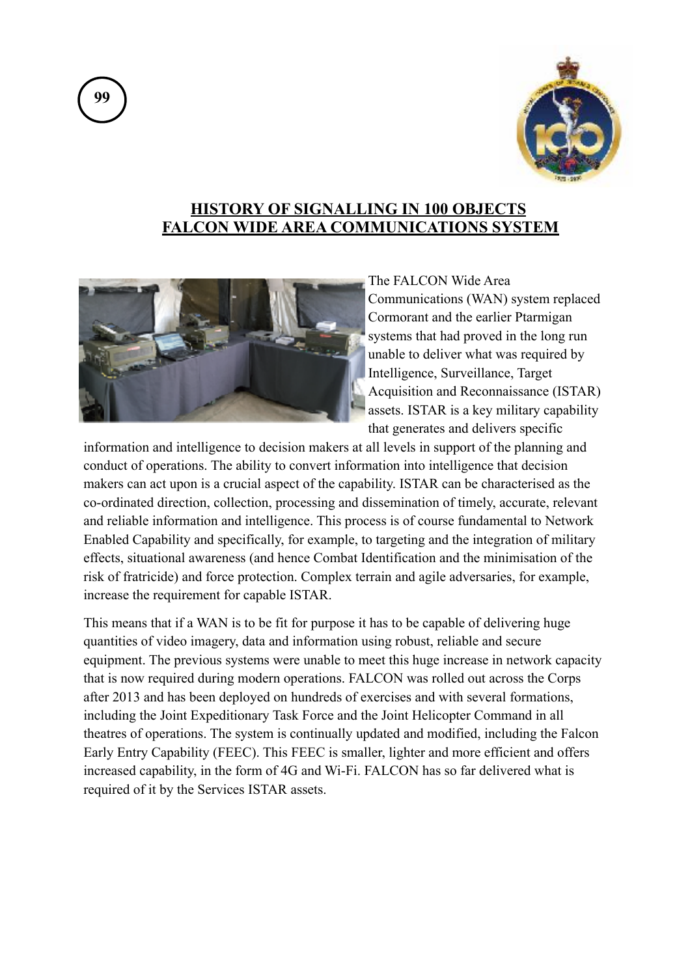

## **HISTORY OF SIGNALLING IN 100 OBJECTS FALCON WIDE AREA COMMUNICATIONS SYSTEM**



The FALCON Wide Area Communications (WAN) system replaced Cormorant and the earlier Ptarmigan systems that had proved in the long run unable to deliver what was required by Intelligence, Surveillance, Target Acquisition and Reconnaissance (ISTAR) assets. ISTAR is a key military capability that generates and delivers specific

information and intelligence to decision makers at all levels in support of the planning and conduct of operations. The ability to convert information into intelligence that decision makers can act upon is a crucial aspect of the capability. ISTAR can be characterised as the co-ordinated direction, collection, processing and dissemination of timely, accurate, relevant and reliable information and intelligence. This process is of course fundamental to Network Enabled Capability and specifically, for example, to targeting and the integration of military effects, situational awareness (and hence Combat Identification and the minimisation of the risk of fratricide) and force protection. Complex terrain and agile adversaries, for example, increase the requirement for capable ISTAR.

This means that if a WAN is to be fit for purpose it has to be capable of delivering huge quantities of video imagery, data and information using robust, reliable and secure equipment. The previous systems were unable to meet this huge increase in network capacity that is now required during modern operations. FALCON was rolled out across the Corps after 2013 and has been deployed on hundreds of exercises and with several formations, including the Joint Expeditionary Task Force and the Joint Helicopter Command in all theatres of operations. The system is continually updated and modified, including the Falcon Early Entry Capability (FEEC). This FEEC is smaller, lighter and more efficient and offers increased capability, in the form of 4G and Wi-Fi. FALCON has so far delivered what is required of it by the Services ISTAR assets.

**99**